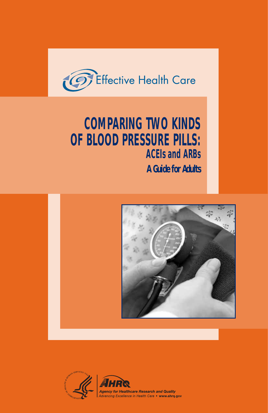

# **COMPARING TWO KINDS OF BLOOD PRESSURE PILLS: ACEIs and ARBs**

**A Guide for Adults**



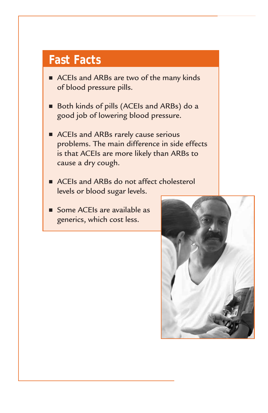# **Fast Facts**

- ACEIs and ARBs are two of the many kinds of blood pressure pills.
- Both kinds of pills (ACEIs and ARBs) do a good job of lowering blood pressure.
- ACEIs and ARBs rarely cause serious problems. The main difference in side effects is that ACEIs are more likely than ARBs to cause a dry cough.
- ACEIs and ARBs do not affect cholesterol levels or blood sugar levels.
- Some ACEIs are available as generics, which cost less.

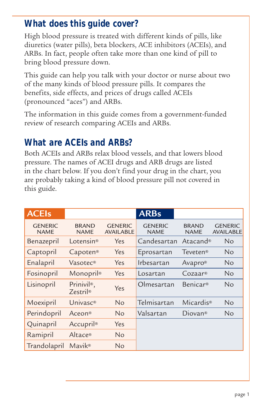#### **What does this guide cover?**

High blood pressure is treated with different kinds of pills, like diuretics (water pills), beta blockers, ACE inhibitors (ACEIs), and ARBs. In fact, people often take more than one kind of pill to bring blood pressure down.

This guide can help you talk with your doctor or nurse about two of the many kinds of blood pressure pills. It compares the benefits, side effects, and prices of drugs called ACEIs (pronounced "aces") and ARBs.

The information in this guide comes from a government-funded review of research comparing ACEIs and ARBs.

## **What are ACEIs and ARBs?**

Both ACEIs and ARBs relax blood vessels, and that lowers blood pressure. The names of ACEI drugs and ARB drugs are listed in the chart below. If you don't find your drug in the chart, you are probably taking a kind of blood pressure pill not covered in this guide.

| <b>ACEIs</b>                  |                                             |                                    | <b>ARBs</b>                   |                             |                                    |
|-------------------------------|---------------------------------------------|------------------------------------|-------------------------------|-----------------------------|------------------------------------|
| <b>GENERIC</b><br><b>NAME</b> | <b>BRAND</b><br><b>NAME</b>                 | <b>GENERIC</b><br><b>AVAILABLE</b> | <b>GENERIC</b><br><b>NAME</b> | <b>BRAND</b><br><b>NAME</b> | <b>GENERIC</b><br><b>AVAILABLE</b> |
| Benazepril                    | I otensin <sup>®</sup>                      | Yes                                | Candesartan                   | Atacand <sup>®</sup>        | Nο                                 |
| Captopril                     | Capoten®                                    | Yes                                | Eprosartan                    | <b>Teveten®</b>             | N <sub>o</sub>                     |
| Enalapril                     | Vasotec®                                    | Yes                                | Irbesartan                    | Avapro®                     | N <sub>o</sub>                     |
| Fosinopril                    | Monopril®                                   | Yes                                | Losartan                      | Cozaar <sup>®</sup>         | N <sub>o</sub>                     |
| Lisinopril                    | Prinivil <sup>®</sup> ,<br><b>Zestril</b> ® | Yes                                | Olmesartan                    | Benicar <sup>®</sup>        | N <sub>o</sub>                     |
| Moexipril                     | Univasc <sup>®</sup>                        | <b>No</b>                          | Telmisartan                   | Micardis <sup>®</sup>       | N <sub>o</sub>                     |
| Perindopril                   | Aceon®                                      | <b>No</b>                          | Valsartan                     | Diovan <sup>®</sup>         | No                                 |
| Quinapril                     | Accupril®                                   | Yes                                |                               |                             |                                    |
| Ramipril                      | Altace®                                     | <b>No</b>                          |                               |                             |                                    |
| Trandolapril                  | Mavik <sup>®</sup>                          | No                                 |                               |                             |                                    |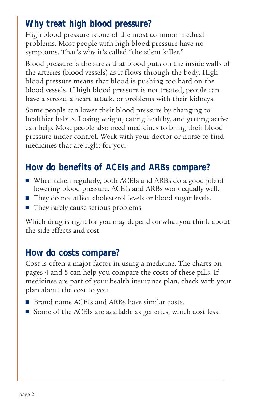## **Why treat high blood pressure?**

High blood pressure is one of the most common medical problems. Most people with high blood pressure have no symptoms. That's why it's called "the silent killer."

Blood pressure is the stress that blood puts on the inside walls of the arteries (blood vessels) as it flows through the body. High blood pressure means that blood is pushing too hard on the blood vessels. If high blood pressure is not treated, people can have a stroke, a heart attack, or problems with their kidneys.

Some people can lower their blood pressure by changing to healthier habits. Losing weight, eating healthy, and getting active can help. Most people also need medicines to bring their blood pressure under control. Work with your doctor or nurse to find medicines that are right for you.

# **How do benefits of ACEIs and ARBs compare?**

- When taken regularly, both ACEIs and ARBs do a good job of lowering blood pressure. ACEIs and ARBs work equally well.
- They do not affect cholesterol levels or blood sugar levels.
- They rarely cause serious problems.

Which drug is right for you may depend on what you think about the side effects and cost.

## **How do costs compare?**

Cost is often a major factor in using a medicine. The charts on pages 4 and 5 can help you compare the costs of these pills. If medicines are part of your health insurance plan, check with your plan about the cost to you.

- Brand name ACEIs and ARBs have similar costs.
- Some of the ACEIs are available as generics, which cost less.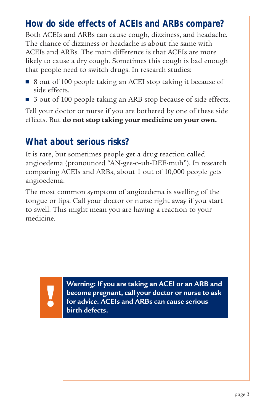#### **How do side effects of ACEIs and ARBs compare?**

Both ACEIs and ARBs can cause cough, dizziness, and headache. The chance of dizziness or headache is about the same with ACEIs and ARBs. The main difference is that ACEIs are more likely to cause a dry cough. Sometimes this cough is bad enough that people need to switch drugs. In research studies:

- 8 out of 100 people taking an ACEI stop taking it because of side effects.
- 3 out of 100 people taking an ARB stop because of side effects.

Tell your doctor or nurse if you are bothered by one of these side effects. But **do not stop taking your medicine on your own.**

#### **What about serious risks?**

It is rare, but sometimes people get a drug reaction called angioedema (pronounced "AN-gee-o-uh-DEE-muh"). In research comparing ACEIs and ARBs, about 1 out of 10,000 people gets angioedema.

The most common symptom of angioedema is swelling of the tongue or lips. Call your doctor or nurse right away if you start to swell. This might mean you are having a reaction to your medicine.

**Warning: If you are taking an ACEI or an ARB and become pregnant, call your doctor or nurse to ask for a formulate the UPS and ARBS**<br>**for advice. ACEIs and ARBs can cause serious** birth defects. **birth defects.**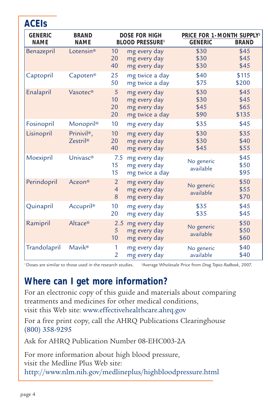| <b>GENERIC</b><br><b>NAME</b> | <b>BRAND</b><br><b>NAME</b>         | <b>DOSE FOR HIGH</b><br><b>BLOOD PRESSURE1</b> |                                                                | PRICE FOR 1-MONTH SUPPLY <sup>2</sup><br><b>GENERIC</b><br><b>BRAND</b> |                               |
|-------------------------------|-------------------------------------|------------------------------------------------|----------------------------------------------------------------|-------------------------------------------------------------------------|-------------------------------|
| Benazepril                    | Lotensin®                           | 10<br>20<br>40                                 | mg every day<br>mg every day<br>mg every day                   | \$30<br>\$30<br>\$30                                                    | \$45<br>\$45<br>\$45          |
| Captopril                     | Capoten®                            | 25<br>50                                       | mg twice a day<br>mg twice a day                               | \$40<br>\$75                                                            | \$115<br>\$200                |
| Enalapril                     | Vasotec®                            | 5<br>10<br>20<br>20                            | mg every day<br>mg every day<br>mg every day<br>mg twice a day | \$30<br>\$30<br>\$45<br>\$90                                            | \$45<br>\$45<br>\$65<br>\$135 |
| Fosinopril                    | Monopril®                           | 10                                             | mg every day                                                   | \$35                                                                    | \$45                          |
| Lisinopril                    | Prinivil <sup>®</sup> ,<br>Zestril® | 10<br>20<br>40                                 | mg every day<br>mg every day<br>mg every day                   | \$30<br>\$30<br>\$45                                                    | \$35<br>\$40<br>\$55          |
| Moexipril                     | Univasc <sup>®</sup>                | 7.5<br>15 <sup>15</sup><br>15                  | mg every day<br>mg every day<br>mg twice a day                 | No generic<br>available                                                 | \$45<br>\$50<br>\$95          |
| Perindopril                   | Aceon®                              | $\overline{2}$<br>$\overline{4}$<br>8          | mg every day<br>mg every day<br>mg every day                   | No generic<br>available                                                 | \$50<br>\$55<br>\$70          |
| Quinapril                     | Accupril®                           | 10<br>20                                       | mg every day<br>mg every day                                   | \$35<br>\$35                                                            | \$45<br>\$45                  |
| Ramipril                      | Altace®                             | 2.5<br>5<br>10 <sup>°</sup>                    | mg every day<br>mg every day<br>mg every day                   | No generic<br>available                                                 | \$50<br>\$50<br>\$60          |
| Trandolapril                  | <b>Mavik®</b>                       | 1<br>$\overline{2}$                            | mg every day<br>mg every day                                   | No generic<br>available                                                 | \$40<br>\$40                  |

<sup>1</sup>Doses are similar to those used in the research studies. Average Wholesale Price from *Drug Topics Redbook*, 2007.

#### **Where can I get more information?**

For an electronic copy of this guide and materials about comparing treatments and medicines for other medical conditions, visit this Web site: www.effectivehealthcare.ahrq.gov

For a free print copy, call the AHRQ Publications Clearinghouse (800) 358-9295

Ask for AHRQ Publication Number 08-EHC003-2A

For more information about high blood pressure, visit the Medline Plus Web site: http://www.nlm.nih.gov/medlineplus/highbloodpressure.html

**ACEIs**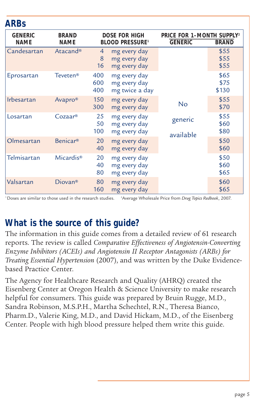| <b>ARBs</b>                   |                             |                                                            |                                                |                                                                         |                       |
|-------------------------------|-----------------------------|------------------------------------------------------------|------------------------------------------------|-------------------------------------------------------------------------|-----------------------|
| <b>GENERIC</b><br><b>NAME</b> | <b>BRAND</b><br><b>NAME</b> | <b>DOSE FOR HIGH</b><br><b>BLOOD PRESSURE</b> <sup>1</sup> |                                                | PRICE FOR 1-MONTH SUPPLY <sup>2</sup><br><b>GENERIC</b><br><b>BRAND</b> |                       |
| Candesartan                   | Atacand <sup>®</sup>        | $\overline{4}$<br>8<br>16                                  | mg every day<br>mg every day<br>mg every day   |                                                                         | \$55<br>\$55<br>\$55  |
| Eprosartan                    | <b>Teveten<sup>®</sup></b>  | 400<br>600<br>400                                          | mg every day<br>mg every day<br>mg twice a day |                                                                         | \$65<br>\$75<br>\$130 |
| <b>Irbesartan</b>             | Avapro <sup>®</sup>         | 150<br>300                                                 | mg every day<br>mg every day                   | No                                                                      | \$55<br>\$70          |
| Losartan                      | $Cozaar$ <sup>®</sup>       | 25<br>50<br>100                                            | mg every day<br>mg every day<br>mg every day   | generic<br>available                                                    | \$55<br>\$60<br>\$80  |
| Olmesartan                    | <b>Benicar®</b>             | 20<br>40                                                   | mg every day<br>mg every day                   |                                                                         | \$50<br>\$60          |
| Telmisartan                   | Micardis®                   | 20<br>40<br>80                                             | mg every day<br>mg every day<br>mg every day   |                                                                         | \$50<br>\$60<br>\$65  |
| Valsartan                     | Diovan <sup>®</sup>         | 80<br>160                                                  | mg every day<br>mg every day                   |                                                                         | \$60<br>\$65          |

1Doses are similar to those used in the research studies. 2 Average Wholesale Price from *Drug Topics Redbook*, 2007.

#### **What is the source of this guide?**

The information in this guide comes from a detailed review of 61 research reports. The review is called *Comparative Effectiveness of Angiotensin-Converting Enzyme Inhibitors (ACEIs) and Angiotensin II Receptor Antagonists (ARBs) for Treating Essential Hypertension* (2007), and was written by the Duke Evidencebased Practice Center.

The Agency for Healthcare Research and Quality (AHRQ) created the Eisenberg Center at Oregon Health & Science University to make research helpful for consumers. This guide was prepared by Bruin Rugge, M.D., Sandra Robinson, M.S.P.H., Martha Schechtel, R.N., Theresa Bianco, Pharm.D., Valerie King, M.D., and David Hickam, M.D., of the Eisenberg Center. People with high blood pressure helped them write this guide.